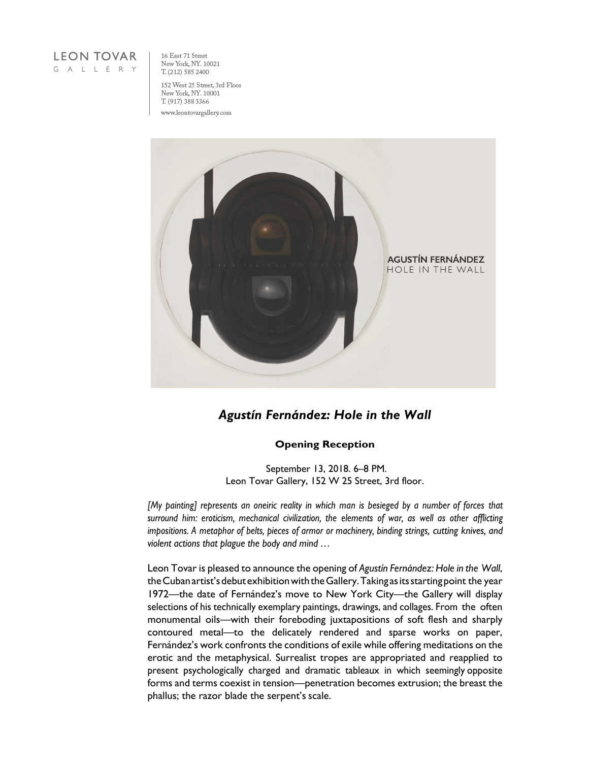

16 East 71 Street New York, NY. 10021 T. (212) 585 2400

152 West 25 Street, 3rd Floor New York, NY. 10001 T. (917) 388 3366 www.leontovargallery.com



## *Agustín Fernández: Hole in the Wall*

## **Opening Reception**

September 13, 2018. 6–8 PM. Leon Tovar Gallery, 152 W 25 Street, 3rd floor.

*[My painting] represents an oneiric reality in which man is besieged by a number of forces that surround him: eroticism, mechanical civilization, the elements of war, as well as other afflicting impositions. A metaphor of belts, pieces of armor or machinery, binding strings, cutting knives, and violent actions that plague the body and mind …*

Leon Tovar is pleased to announce the opening of *Agustín Fernández: Hole in the Wall*, the Cuban artist's debut exhibition with the Gallery. Taking as its starting point the year 1972—the date of Fernández's move to New York City—the Gallery will display selections of his technically exemplary paintings, drawings, and collages. From the often monumental oils—with their foreboding juxtapositions of soft flesh and sharply contoured metal—to the delicately rendered and sparse works on paper, Fernández's work confronts the conditions of exile while offering meditations on the erotic and the metaphysical. Surrealist tropes are appropriated and reapplied to present psychologically charged and dramatic tableaux in which seemingly opposite forms and terms coexist in tension—penetration becomes extrusion; the breast the phallus; the razor blade the serpent's scale.